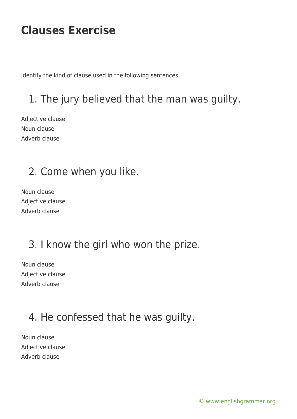Identify the kind of clause used in the following sentences.

# 1. The jury believed that the man was guilty.

Adjective clause Noun clause Adverb clause

### 2. Come when you like.

Noun clause Adjective clause Adverb clause

### 3. I know the girl who won the prize.

Noun clause Adjective clause Adverb clause

### 4. He confessed that he was guilty.

Noun clause Adjective clause Adverb clause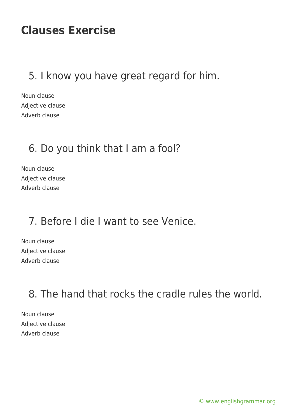#### 5. I know you have great regard for him.

Noun clause Adjective clause Adverb clause

#### 6. Do you think that I am a fool?

Noun clause Adjective clause Adverb clause

#### 7. Before I die I want to see Venice.

Noun clause Adjective clause Adverb clause

8. The hand that rocks the cradle rules the world.

Noun clause Adjective clause Adverb clause

[© www.englishgrammar.org](https://www.englishgrammar.org/)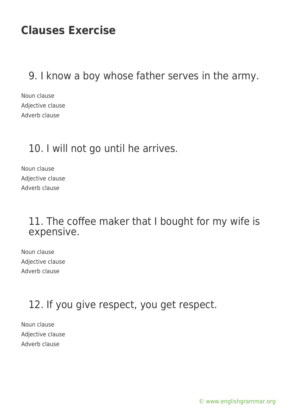#### 9. I know a boy whose father serves in the army.

Noun clause Adjective clause Adverb clause

#### 10. I will not go until he arrives.

Noun clause Adjective clause Adverb clause

#### 11. The coffee maker that I bought for my wife is expensive.

Noun clause Adjective clause Adverb clause

### 12. If you give respect, you get respect.

Noun clause Adjective clause Adverb clause

[© www.englishgrammar.org](https://www.englishgrammar.org/)